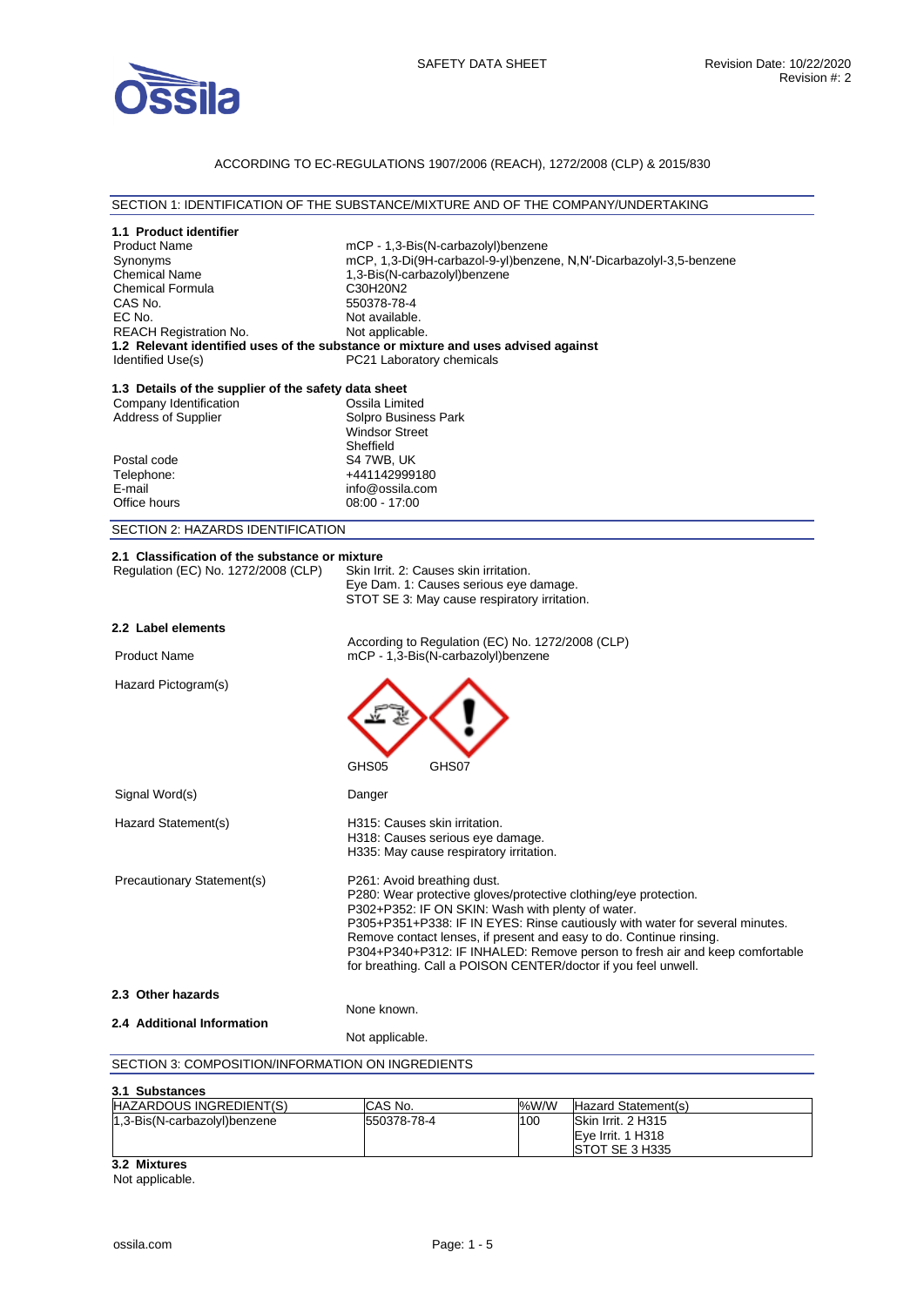

# ACCORDING TO EC-REGULATIONS 1907/2006 (REACH), 1272/2008 (CLP) & 2015/830

#### SECTION 1: IDENTIFICATION OF THE SUBSTANCE/MIXTURE AND OF THE COMPANY/UNDERTAKING

| 1.1 Product identifier<br><b>Product Name</b><br>Synonyms<br><b>Chemical Name</b><br><b>Chemical Formula</b><br>CAS No.<br>EC No.<br><b>REACH Registration No.</b><br>1.2 Relevant identified uses of the substance or mixture and uses advised against<br>Identified Use(s) | C30H20N2<br>550378-78-4<br>Not available.<br>Not applicable.                                                                                                                                                                                                                                                                                                                                                                                                 | mCP - 1,3-Bis(N-carbazolyl)benzene<br>1,3-Bis(N-carbazolyl)benzene<br>PC21 Laboratory chemicals                                  |      | mCP, 1,3-Di(9H-carbazol-9-yl)benzene, N,N'-Dicarbazolyl-3,5-benzene |
|------------------------------------------------------------------------------------------------------------------------------------------------------------------------------------------------------------------------------------------------------------------------------|--------------------------------------------------------------------------------------------------------------------------------------------------------------------------------------------------------------------------------------------------------------------------------------------------------------------------------------------------------------------------------------------------------------------------------------------------------------|----------------------------------------------------------------------------------------------------------------------------------|------|---------------------------------------------------------------------|
| 1.3 Details of the supplier of the safety data sheet<br>Company Identification<br>Address of Supplier                                                                                                                                                                        | Ossila Limited<br>Solpro Business Park<br><b>Windsor Street</b><br>Sheffield                                                                                                                                                                                                                                                                                                                                                                                 |                                                                                                                                  |      |                                                                     |
| Postal code<br>Telephone:<br>E-mail<br>Office hours                                                                                                                                                                                                                          | S4 7WB, UK<br>+441142999180<br>info@ossila.com<br>08:00 - 17:00                                                                                                                                                                                                                                                                                                                                                                                              |                                                                                                                                  |      |                                                                     |
| SECTION 2: HAZARDS IDENTIFICATION                                                                                                                                                                                                                                            |                                                                                                                                                                                                                                                                                                                                                                                                                                                              |                                                                                                                                  |      |                                                                     |
| 2.1 Classification of the substance or mixture<br>Regulation (EC) No. 1272/2008 (CLP)                                                                                                                                                                                        |                                                                                                                                                                                                                                                                                                                                                                                                                                                              | Skin Irrit. 2: Causes skin irritation.<br>Eye Dam. 1: Causes serious eye damage.<br>STOT SE 3: May cause respiratory irritation. |      |                                                                     |
| 2.2 Label elements                                                                                                                                                                                                                                                           |                                                                                                                                                                                                                                                                                                                                                                                                                                                              |                                                                                                                                  |      |                                                                     |
| <b>Product Name</b>                                                                                                                                                                                                                                                          |                                                                                                                                                                                                                                                                                                                                                                                                                                                              | According to Regulation (EC) No. 1272/2008 (CLP)<br>mCP - 1,3-Bis(N-carbazolyl)benzene                                           |      |                                                                     |
| Hazard Pictogram(s)                                                                                                                                                                                                                                                          | GHS05                                                                                                                                                                                                                                                                                                                                                                                                                                                        | GHS07                                                                                                                            |      |                                                                     |
| Signal Word(s)                                                                                                                                                                                                                                                               | Danger                                                                                                                                                                                                                                                                                                                                                                                                                                                       |                                                                                                                                  |      |                                                                     |
| Hazard Statement(s)                                                                                                                                                                                                                                                          |                                                                                                                                                                                                                                                                                                                                                                                                                                                              | H315: Causes skin irritation.<br>H318: Causes serious eye damage.<br>H335: May cause respiratory irritation.                     |      |                                                                     |
| Precautionary Statement(s)                                                                                                                                                                                                                                                   | P261: Avoid breathing dust.<br>P280: Wear protective gloves/protective clothing/eye protection.<br>P302+P352: IF ON SKIN: Wash with plenty of water.<br>P305+P351+P338: IF IN EYES: Rinse cautiously with water for several minutes.<br>Remove contact lenses, if present and easy to do. Continue rinsing.<br>P304+P340+P312: IF INHALED: Remove person to fresh air and keep comfortable<br>for breathing. Call a POISON CENTER/doctor if you feel unwell. |                                                                                                                                  |      |                                                                     |
| 2.3 Other hazards                                                                                                                                                                                                                                                            |                                                                                                                                                                                                                                                                                                                                                                                                                                                              |                                                                                                                                  |      |                                                                     |
| 2.4 Additional Information                                                                                                                                                                                                                                                   | None known.<br>Not applicable.                                                                                                                                                                                                                                                                                                                                                                                                                               |                                                                                                                                  |      |                                                                     |
| SECTION 3: COMPOSITION/INFORMATION ON INGREDIENTS                                                                                                                                                                                                                            |                                                                                                                                                                                                                                                                                                                                                                                                                                                              |                                                                                                                                  |      |                                                                     |
| 3.1 Substances                                                                                                                                                                                                                                                               |                                                                                                                                                                                                                                                                                                                                                                                                                                                              |                                                                                                                                  |      |                                                                     |
| HAZARDOUS INGREDIENT(S)                                                                                                                                                                                                                                                      | CAS No.                                                                                                                                                                                                                                                                                                                                                                                                                                                      |                                                                                                                                  | %W/W | Hazard Statement(s)                                                 |
| 1,3-Bis(N-carbazolyl)benzene                                                                                                                                                                                                                                                 | 550378-78-4                                                                                                                                                                                                                                                                                                                                                                                                                                                  |                                                                                                                                  | 100  | Skin Irrit. 2 H315<br>Eye Irrit. 1 H318                             |

**3.2 Mixtures** 

Not applicable.

STOT SE 3 H335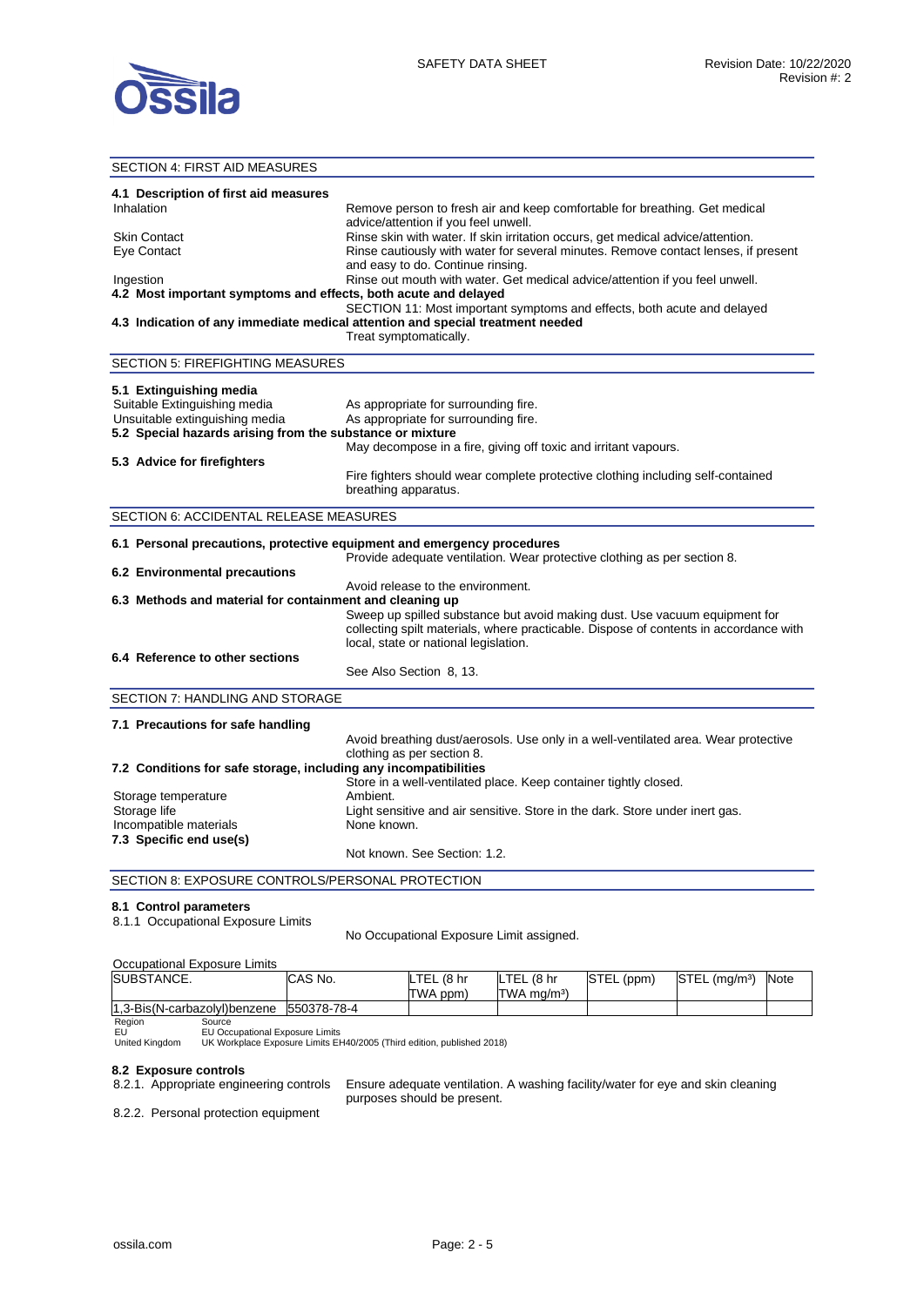

#### SECTION 4: FIRST AID MEASURES **4.1 Description of first aid measures**  Inhalation **Remove person to fresh air and keep comfortable for breathing. Get medical** advice/attention if you feel unwell. Skin Contact **Rinse skin with water. If skin irritation occurs**, get medical advice/attention. Eye Contact **Ringe Contact Ringe Contact Rinse cautiously with water for several minutes. Remove contact lenses, if present** and easy to do. Continue rinsing. Ingestion Rinse out mouth with water. Get medical advice/attention if you feel unwell. **4.2 Most important symptoms and effects, both acute and delayed**  SECTION 11: Most important symptoms and effects, both acute and delayed **4.3 Indication of any immediate medical attention and special treatment needed**  Treat symptomatically. SECTION 5: FIREFIGHTING MEASURES **5.1 Extinguishing media**  Suitable Extinguishing media As appropriate for surrounding fire. Unsuitable extinguishing media As appropriate for surrounding fire. **5.2 Special hazards arising from the substance or mixture**  May decompose in a fire, giving off toxic and irritant vapours. **5.3 Advice for firefighters**  Fire fighters should wear complete protective clothing including self-contained breathing apparatus. SECTION 6: ACCIDENTAL RELEASE MEASURES **6.1 Personal precautions, protective equipment and emergency procedures**  Provide adequate ventilation. Wear protective clothing as per section 8. **6.2 Environmental precautions**  Avoid release to the environment. **6.3 Methods and material for containment and cleaning up**  Sweep up spilled substance but avoid making dust. Use vacuum equipment for collecting spilt materials, where practicable. Dispose of contents in accordance with local, state or national legislation. **6.4 Reference to other sections**  See Also Section 8, 13. SECTION 7: HANDLING AND STORAGE **7.1 Precautions for safe handling**  Avoid breathing dust/aerosols. Use only in a well-ventilated area. Wear protective clothing as per section 8. **7.2 Conditions for safe storage, including any incompatibilities**  Store in a well-ventilated place. Keep container tightly closed. Storage temperature **Ambient.** Storage life **Light sensitive and air sensitive.** Store in the dark. Store under inert gas. Incompatible materials None known. **7.3 Specific end use(s)**  Not known. See Section: 1.2. SECTION 8: EXPOSURE CONTROLS/PERSONAL PROTECTION **8.1 Control parameters**  8.1.1 Occupational Exposure Limits

No Occupational Exposure Limit assigned.

| Occupational Exposure Limits             |         |            |             |            |                             |             |
|------------------------------------------|---------|------------|-------------|------------|-----------------------------|-------------|
| SUBSTANCE.                               | CAS No. | LTEL (8 hr | LTEL (8 hr  | STEL (ppm) | $STEL$ (ma/m <sup>3</sup> ) | <b>Note</b> |
|                                          |         | TWA ppm)   | ITWA ma/mª) |            |                             |             |
| 1.3-Bis(N-carbazolyl)benzene 550378-78-4 |         |            |             |            |                             |             |

#### Region Source EU Occupational Exposure Limits

EU United Kingdom

UK Workplace Exposure Limits EH40/2005 (Third edition, published 2018)

## **8.2 Exposure controls**

8.2.1. Appropriate engineering controls Ensure adequate ventilation. A washing facility/water for eye and skin cleaning purposes should be present.

8.2.2. Personal protection equipment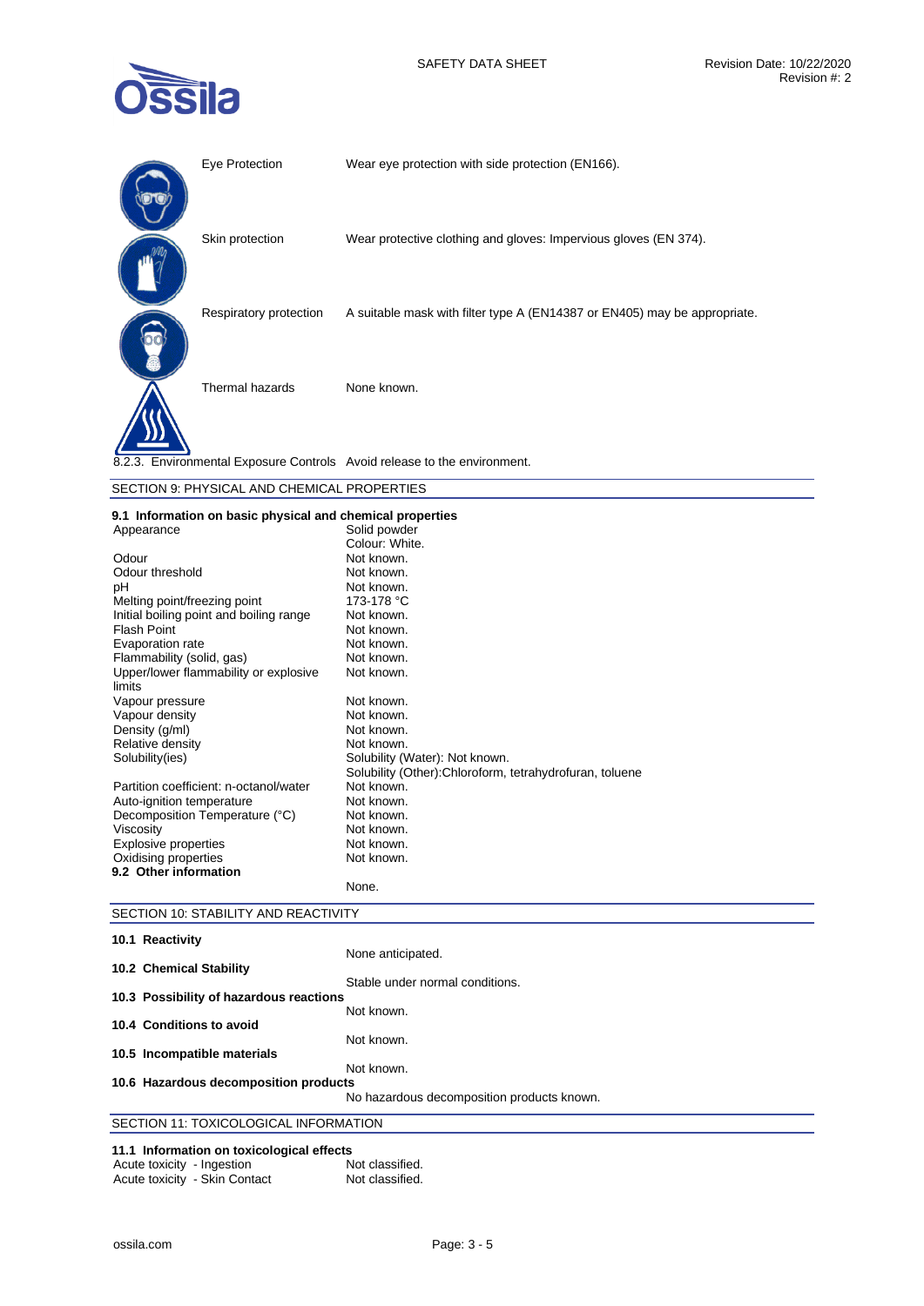

| Eye Protection         | Wear eye protection with side protection (EN166).                         |
|------------------------|---------------------------------------------------------------------------|
| Skin protection        | Wear protective clothing and gloves: Impervious gloves (EN 374).          |
| Respiratory protection | A suitable mask with filter type A (EN14387 or EN405) may be appropriate. |
| Thermal hazards        | None known.                                                               |
|                        | 8.2.3. Environmental Exposure Controls Avoid release to the environment.  |

| SECTION 9: PHYSICAL AND CHEMICAL PROPERTIES |
|---------------------------------------------|
|---------------------------------------------|

|  |  |  |  |  | 9.1 Information on basic physical and chemical properties |
|--|--|--|--|--|-----------------------------------------------------------|
|--|--|--|--|--|-----------------------------------------------------------|

| Appearance                                      | Solid powder                                             |
|-------------------------------------------------|----------------------------------------------------------|
|                                                 | Colour: White.                                           |
| Odour                                           | Not known.                                               |
| Odour threshold                                 | Not known.                                               |
| рH                                              | Not known.                                               |
| Melting point/freezing point                    | 173-178 °C                                               |
| Initial boiling point and boiling range         | Not known.                                               |
| Flash Point                                     | Not known.                                               |
| Evaporation rate                                | Not known.                                               |
| Flammability (solid, gas)                       | Not known.                                               |
| Upper/lower flammability or explosive<br>limits | Not known.                                               |
| Vapour pressure                                 | Not known.                                               |
| Vapour density                                  | Not known.                                               |
| Density (g/ml)                                  | Not known.                                               |
| Relative density                                | Not known.                                               |
| Solubility(ies)                                 | Solubility (Water): Not known.                           |
|                                                 | Solubility (Other): Chloroform, tetrahydrofuran, toluene |
| Partition coefficient: n-octanol/water          | Not known.                                               |
| Auto-ignition temperature                       | Not known.                                               |
| Decomposition Temperature (°C)                  | Not known.                                               |
| Viscosity                                       | Not known.                                               |
| <b>Explosive properties</b>                     | Not known.                                               |
| Oxidising properties                            | Not known.                                               |
| 9.2 Other information                           |                                                          |
|                                                 | None.                                                    |

| SECTION 10: STABILITY AND REACTIVITY      |                                            |
|-------------------------------------------|--------------------------------------------|
| 10.1 Reactivity                           |                                            |
|                                           | None anticipated.                          |
| 10.2 Chemical Stability                   |                                            |
|                                           | Stable under normal conditions.            |
| 10.3 Possibility of hazardous reactions   |                                            |
| 10.4 Conditions to avoid                  | Not known.                                 |
|                                           | Not known.                                 |
| 10.5 Incompatible materials               |                                            |
|                                           | Not known.                                 |
| 10.6 Hazardous decomposition products     |                                            |
|                                           | No hazardous decomposition products known. |
| SECTION 11: TOXICOLOGICAL INFORMATION     |                                            |
| 11 1 Information on toxicological effects |                                            |

# **11.1 Information on toxicological effects**

| Acute toxicity - Ingestion |                               | Not classified. |
|----------------------------|-------------------------------|-----------------|
|                            | Acute toxicity - Skin Contact | Not classified. |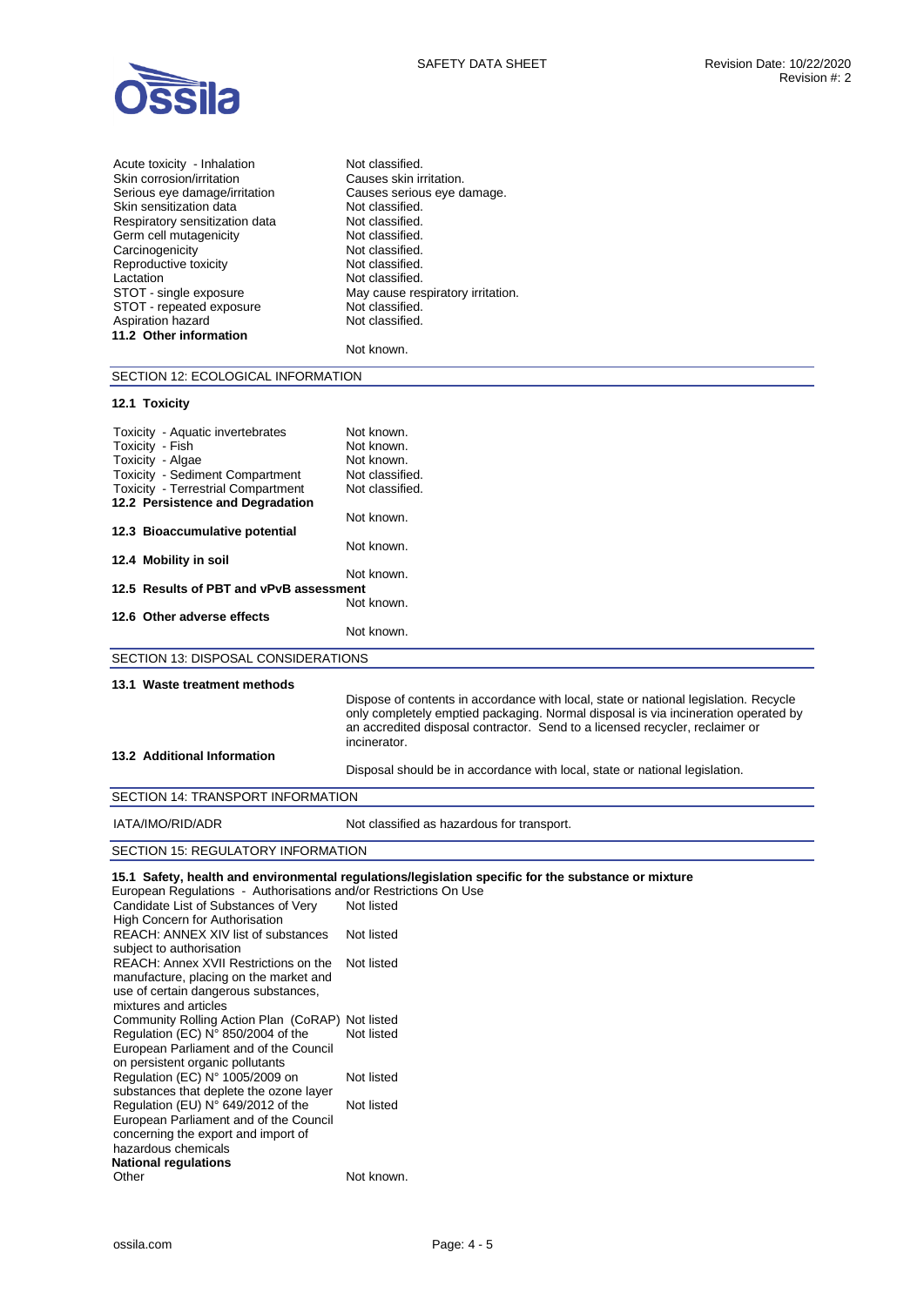

| Not classified.                   |
|-----------------------------------|
| Causes skin irritation.           |
| Causes serious eye damage.        |
| Not classified.                   |
| Not classified.                   |
| Not classified.                   |
| Not classified.                   |
| Not classified.                   |
| Not classified.                   |
| May cause respiratory irritation. |
| Not classified.                   |
| Not classified.                   |
|                                   |
| Not known.                        |
|                                   |

SECTION 12: ECOLOGICAL INFORMATION

# **12.1 Toxicity**

| Toxicity - Aquatic invertebrates                                 | Not known.                                                                                          |
|------------------------------------------------------------------|-----------------------------------------------------------------------------------------------------|
| Toxicity - Fish                                                  | Not known.                                                                                          |
| Toxicity - Algae                                                 | Not known.                                                                                          |
| <b>Toxicity - Sediment Compartment</b>                           | Not classified.                                                                                     |
| <b>Toxicity - Terrestrial Compartment</b>                        | Not classified.                                                                                     |
| 12.2 Persistence and Degradation                                 |                                                                                                     |
|                                                                  | Not known.                                                                                          |
| 12.3 Bioaccumulative potential                                   |                                                                                                     |
|                                                                  | Not known.                                                                                          |
| 12.4 Mobility in soil                                            |                                                                                                     |
|                                                                  | Not known.                                                                                          |
| 12.5 Results of PBT and vPvB assessment                          |                                                                                                     |
|                                                                  | Not known.                                                                                          |
| 12.6 Other adverse effects                                       |                                                                                                     |
|                                                                  | Not known.                                                                                          |
|                                                                  |                                                                                                     |
| SECTION 13: DISPOSAL CONSIDERATIONS                              |                                                                                                     |
|                                                                  |                                                                                                     |
| 13.1 Waste treatment methods                                     |                                                                                                     |
|                                                                  | Dispose of contents in accordance with local, state or national legislation. Recycle                |
|                                                                  | only completely emptied packaging. Normal disposal is via incineration operated by                  |
|                                                                  | an accredited disposal contractor. Send to a licensed recycler, reclaimer or<br>incinerator.        |
| 13.2 Additional Information                                      |                                                                                                     |
|                                                                  |                                                                                                     |
|                                                                  | Disposal should be in accordance with local, state or national legislation.                         |
| SECTION 14: TRANSPORT INFORMATION                                |                                                                                                     |
| IATA/IMO/RID/ADR                                                 | Not classified as hazardous for transport.                                                          |
|                                                                  |                                                                                                     |
| <b>SECTION 15: REGULATORY INFORMATION</b>                        |                                                                                                     |
|                                                                  |                                                                                                     |
|                                                                  | 15.1 Safety, health and environmental regulations/legislation specific for the substance or mixture |
| European Regulations - Authorisations and/or Restrictions On Use | Not listed                                                                                          |
| Candidate List of Substances of Very                             |                                                                                                     |
| High Concern for Authorisation                                   |                                                                                                     |
| <b>REACH: ANNEX XIV list of substances</b>                       | Not listed                                                                                          |
| subject to authorisation                                         |                                                                                                     |

| subject to authorisation                         |            |
|--------------------------------------------------|------------|
| REACH: Annex XVII Restrictions on the            | Not listed |
| manufacture, placing on the market and           |            |
| use of certain dangerous substances,             |            |
| mixtures and articles                            |            |
| Community Rolling Action Plan (CoRAP) Not listed |            |
| Regulation (EC) N° 850/2004 of the               | Not listed |
| European Parliament and of the Council           |            |
| on persistent organic pollutants                 |            |
| Regulation (EC) $N^{\circ}$ 1005/2009 on         | Not listed |
| substances that deplete the ozone layer          |            |
| Regulation (EU) N° 649/2012 of the               | Not listed |
| European Parliament and of the Council           |            |
| concerning the export and import of              |            |
| hazardous chemicals                              |            |
| <b>National regulations</b>                      |            |
| Other                                            | Not known. |